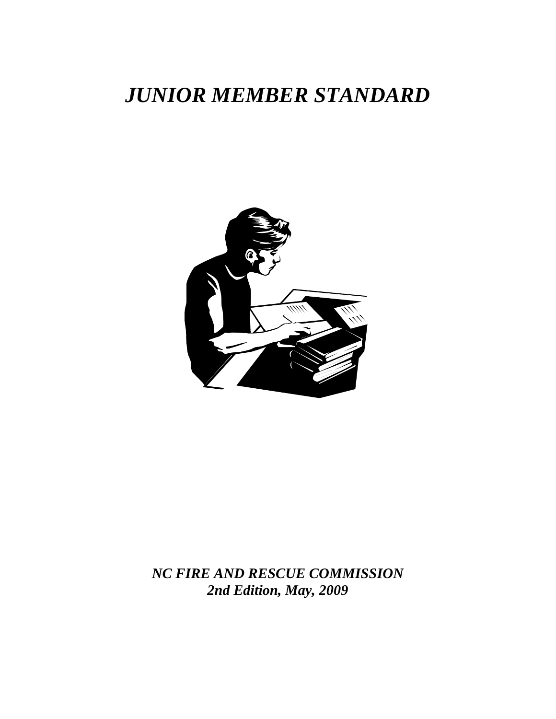# *JUNIOR MEMBER STANDARD*



*NC FIRE AND RESCUE COMMISSION 2nd Edition, May, 2009*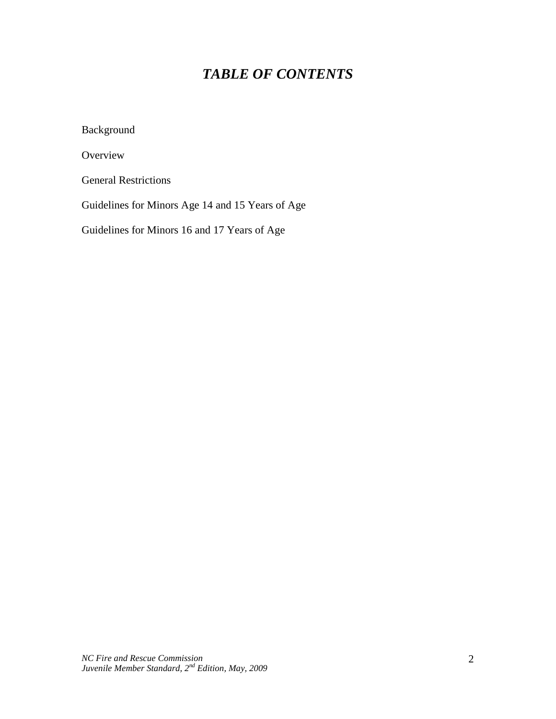## *TABLE OF CONTENTS*

Background

**Overview** 

General Restrictions

Guidelines for Minors Age 14 and 15 Years of Age

Guidelines for Minors 16 and 17 Years of Age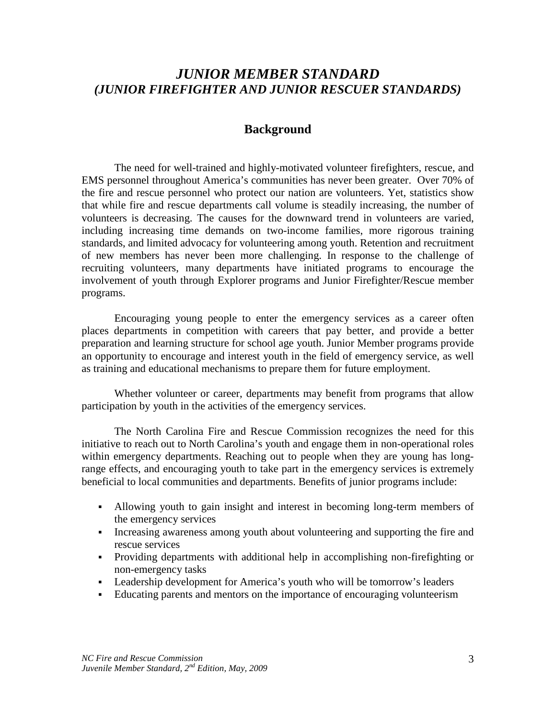## *JUNIOR MEMBER STANDARD (JUNIOR FIREFIGHTER AND JUNIOR RESCUER STANDARDS)*

### **Background**

The need for well-trained and highly-motivated volunteer firefighters, rescue, and EMS personnel throughout America's communities has never been greater. Over 70% of the fire and rescue personnel who protect our nation are volunteers. Yet, statistics show that while fire and rescue departments call volume is steadily increasing, the number of volunteers is decreasing. The causes for the downward trend in volunteers are varied, including increasing time demands on two-income families, more rigorous training standards, and limited advocacy for volunteering among youth. Retention and recruitment of new members has never been more challenging. In response to the challenge of recruiting volunteers, many departments have initiated programs to encourage the involvement of youth through Explorer programs and Junior Firefighter/Rescue member programs.

Encouraging young people to enter the emergency services as a career often places departments in competition with careers that pay better, and provide a better preparation and learning structure for school age youth. Junior Member programs provide an opportunity to encourage and interest youth in the field of emergency service, as well as training and educational mechanisms to prepare them for future employment.

Whether volunteer or career, departments may benefit from programs that allow participation by youth in the activities of the emergency services.

The North Carolina Fire and Rescue Commission recognizes the need for this initiative to reach out to North Carolina's youth and engage them in non-operational roles within emergency departments. Reaching out to people when they are young has longrange effects, and encouraging youth to take part in the emergency services is extremely beneficial to local communities and departments. Benefits of junior programs include:

- Allowing youth to gain insight and interest in becoming long-term members of the emergency services
- Increasing awareness among youth about volunteering and supporting the fire and rescue services
- Providing departments with additional help in accomplishing non-firefighting or non-emergency tasks
- Leadership development for America's youth who will be tomorrow's leaders
- Educating parents and mentors on the importance of encouraging volunteerism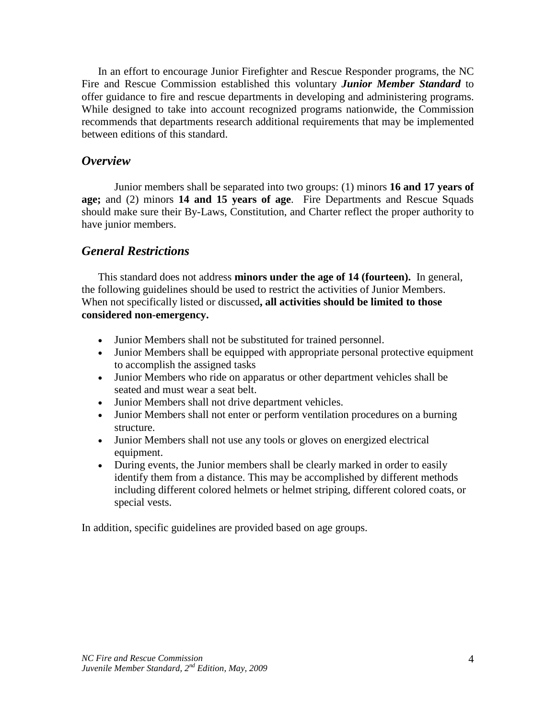In an effort to encourage Junior Firefighter and Rescue Responder programs, the NC Fire and Rescue Commission established this voluntary *Junior Member Standard* to offer guidance to fire and rescue departments in developing and administering programs. While designed to take into account recognized programs nationwide, the Commission recommends that departments research additional requirements that may be implemented between editions of this standard.

#### *Overview*

Junior members shall be separated into two groups: (1) minors **16 and 17 years of age;** and (2) minors **14 and 15 years of age**. Fire Departments and Rescue Squads should make sure their By-Laws, Constitution, and Charter reflect the proper authority to have junior members.

## *General Restrictions*

This standard does not address **minors under the age of 14 (fourteen).** In general, the following guidelines should be used to restrict the activities of Junior Members. When not specifically listed or discussed**, all activities should be limited to those considered non-emergency.**

- Junior Members shall not be substituted for trained personnel.
- Junior Members shall be equipped with appropriate personal protective equipment to accomplish the assigned tasks
- Junior Members who ride on apparatus or other department vehicles shall be seated and must wear a seat belt.
- Junior Members shall not drive department vehicles.
- Junior Members shall not enter or perform ventilation procedures on a burning structure.
- Junior Members shall not use any tools or gloves on energized electrical equipment.
- During events, the Junior members shall be clearly marked in order to easily identify them from a distance. This may be accomplished by different methods including different colored helmets or helmet striping, different colored coats, or special vests.

In addition, specific guidelines are provided based on age groups.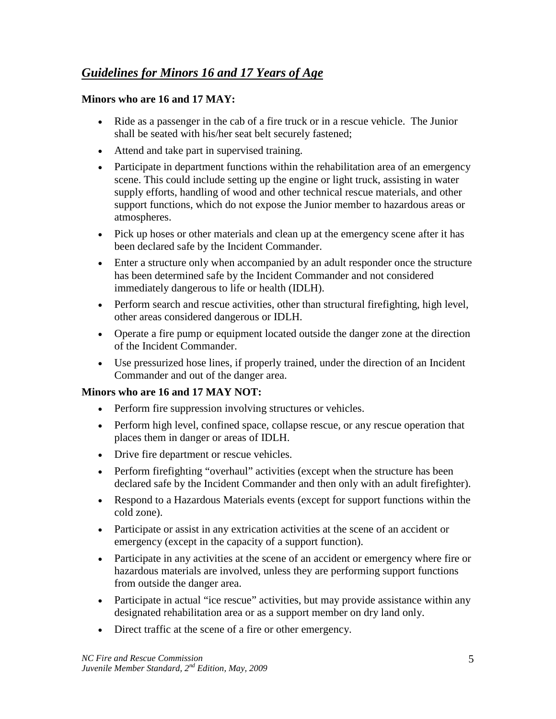## *Guidelines for Minors 16 and 17 Years of Age*

## **Minors who are 16 and 17 MAY:**

- Ride as a passenger in the cab of a fire truck or in a rescue vehicle. The Junior shall be seated with his/her seat belt securely fastened;
- Attend and take part in supervised training.
- Participate in department functions within the rehabilitation area of an emergency scene. This could include setting up the engine or light truck, assisting in water supply efforts, handling of wood and other technical rescue materials, and other support functions, which do not expose the Junior member to hazardous areas or atmospheres.
- Pick up hoses or other materials and clean up at the emergency scene after it has been declared safe by the Incident Commander.
- Enter a structure only when accompanied by an adult responder once the structure has been determined safe by the Incident Commander and not considered immediately dangerous to life or health (IDLH).
- Perform search and rescue activities, other than structural firefighting, high level, other areas considered dangerous or IDLH.
- Operate a fire pump or equipment located outside the danger zone at the direction of the Incident Commander.
- Use pressurized hose lines, if properly trained, under the direction of an Incident Commander and out of the danger area.

### **Minors who are 16 and 17 MAY NOT:**

- Perform fire suppression involving structures or vehicles.
- Perform high level, confined space, collapse rescue, or any rescue operation that places them in danger or areas of IDLH.
- Drive fire department or rescue vehicles.
- Perform firefighting "overhaul" activities (except when the structure has been declared safe by the Incident Commander and then only with an adult firefighter).
- Respond to a Hazardous Materials events (except for support functions within the cold zone).
- Participate or assist in any extrication activities at the scene of an accident or emergency (except in the capacity of a support function).
- Participate in any activities at the scene of an accident or emergency where fire or hazardous materials are involved, unless they are performing support functions from outside the danger area.
- Participate in actual "ice rescue" activities, but may provide assistance within any designated rehabilitation area or as a support member on dry land only.
- Direct traffic at the scene of a fire or other emergency.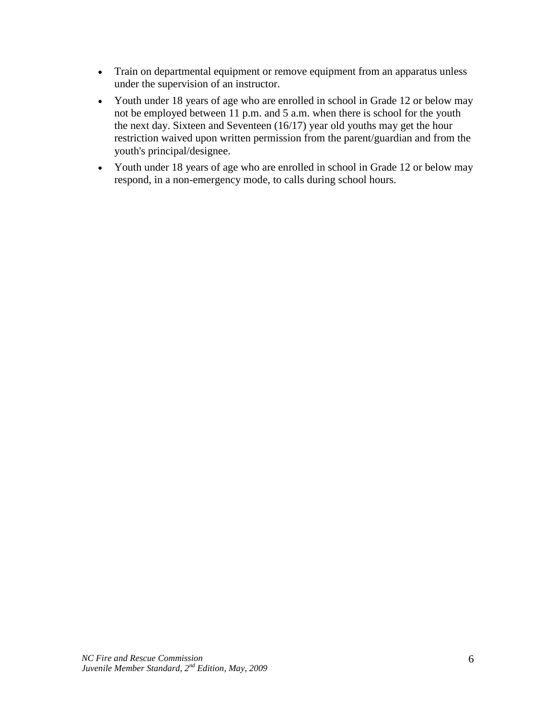- Train on departmental equipment or remove equipment from an apparatus unless under the supervision of an instructor.
- Youth under 18 years of age who are enrolled in school in Grade 12 or below may not be employed between 11 p.m. and 5 a.m. when there is school for the youth the next day. Sixteen and Seventeen (16/17) year old youths may get the hour restriction waived upon written permission from the parent/guardian and from the youth's principal/designee.
- Youth under 18 years of age who are enrolled in school in Grade 12 or below may respond, in a non-emergency mode, to calls during school hours.